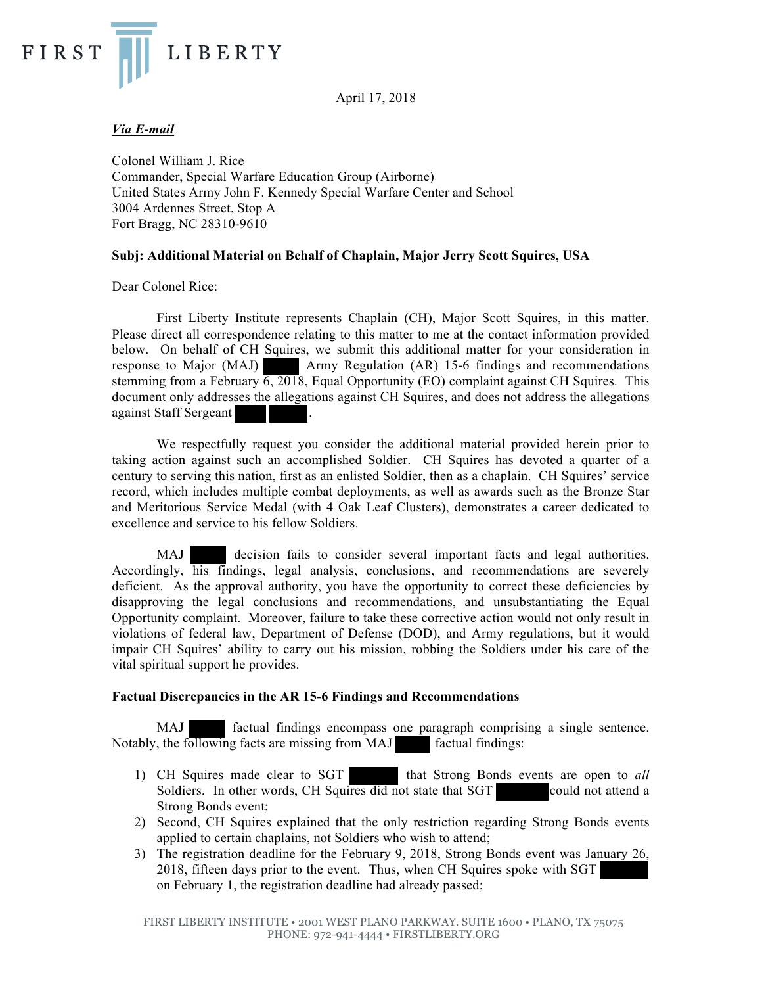April 17, 2018



# *Via E-mail*

Colonel William J. Rice Commander, Special Warfare Education Group (Airborne) United States Army John F. Kennedy Special Warfare Center and School 3004 Ardennes Street, Stop A Fort Bragg, NC 28310-9610

# **Subj: Additional Material on Behalf of Chaplain, Major Jerry Scott Squires, USA**

Dear Colonel Rice:

First Liberty Institute represents Chaplain (CH), Major Scott Squires, in this matter. Please direct all correspondence relating to this matter to me at the contact information provided below. On behalf of CH Squires, we submit this additional matter for your consideration in response to Major (MAJ) Army Regulation (AR) 15-6 findings and recommendations stemming from a February 6, 2018, Equal Opportunity (EO) complaint against CH Squires. This document only addresses the allegations against CH Squires, and does not address the allegations against Staff Sergeant .

We respectfully request you consider the additional material provided herein prior to taking action against such an accomplished Soldier. CH Squires has devoted a quarter of a century to serving this nation, first as an enlisted Soldier, then as a chaplain. CH Squires' service record, which includes multiple combat deployments, as well as awards such as the Bronze Star and Meritorious Service Medal (with 4 Oak Leaf Clusters), demonstrates a career dedicated to excellence and service to his fellow Soldiers.

MAJ decision fails to consider several important facts and legal authorities. Accordingly, his findings, legal analysis, conclusions, and recommendations are severely deficient. As the approval authority, you have the opportunity to correct these deficiencies by disapproving the legal conclusions and recommendations, and unsubstantiating the Equal Opportunity complaint. Moreover, failure to take these corrective action would not only result in violations of federal law, Department of Defense (DOD), and Army regulations, but it would impair CH Squires' ability to carry out his mission, robbing the Soldiers under his care of the vital spiritual support he provides.

# **Factual Discrepancies in the AR 15-6 Findings and Recommendations**

MAJ factual findings encompass one paragraph comprising a single sentence. Notably, the following facts are missing from MAJ factual findings:

- 1) CH Squires made clear to SGT that Strong Bonds events are open to *all* Soldiers. In other words, CH Squires did not state that SGT could not attend a Strong Bonds event;
- 2) Second, CH Squires explained that the only restriction regarding Strong Bonds events applied to certain chaplains, not Soldiers who wish to attend;
- 3) The registration deadline for the February 9, 2018, Strong Bonds event was January 26, 2018, fifteen days prior to the event. Thus, when CH Squires spoke with SGT on February 1, the registration deadline had already passed;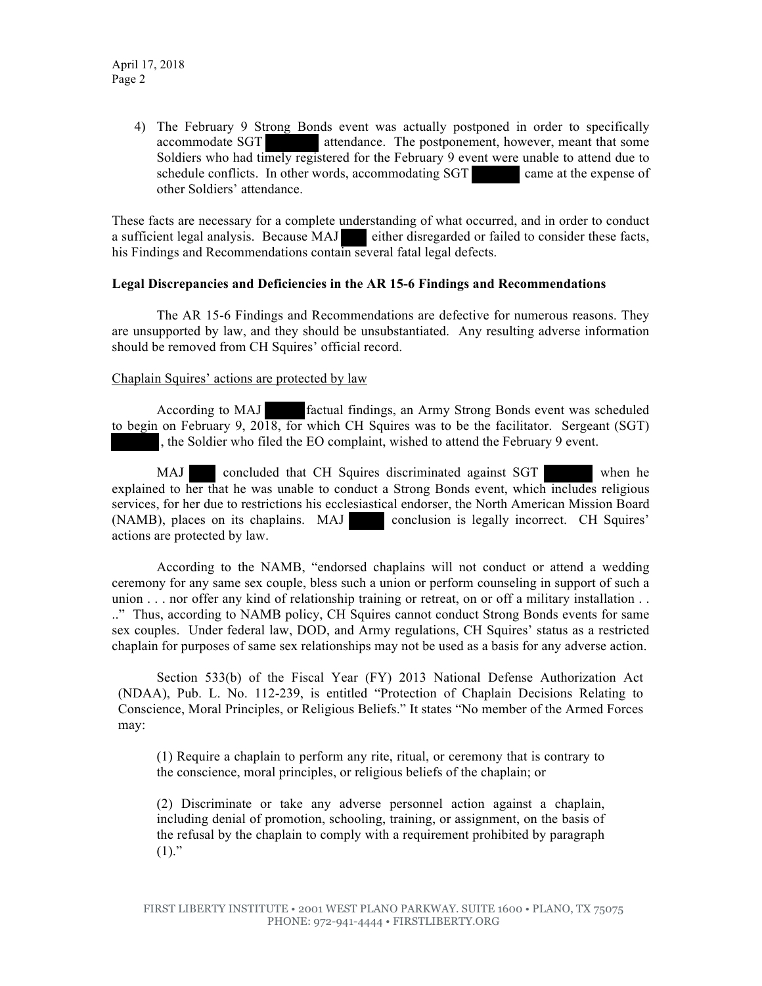4) The February 9 Strong Bonds event was actually postponed in order to specifically accommodate SGT attendance. The postponement, however, meant that some Soldiers who had timely registered for the February 9 event were unable to attend due to schedule conflicts. In other words, accommodating SGT came at the expense of other Soldiers' attendance.

These facts are necessary for a complete understanding of what occurred, and in order to conduct a sufficient legal analysis. Because MAJ either disregarded or failed to consider these facts, his Findings and Recommendations contain several fatal legal defects.

# **Legal Discrepancies and Deficiencies in the AR 15-6 Findings and Recommendations**

The AR 15-6 Findings and Recommendations are defective for numerous reasons. They are unsupported by law, and they should be unsubstantiated. Any resulting adverse information should be removed from CH Squires' official record.

# Chaplain Squires' actions are protected by law

According to MAJ factual findings, an Army Strong Bonds event was scheduled to begin on February 9, 2018, for which CH Squires was to be the facilitator. Sergeant (SGT) , the Soldier who filed the EO complaint, wished to attend the February 9 event.

MAJ concluded that CH Squires discriminated against SGT when he explained to her that he was unable to conduct a Strong Bonds event, which includes religious services, for her due to restrictions his ecclesiastical endorser, the North American Mission Board (NAMB), places on its chaplains. MAJ conclusion is legally incorrect. CH Squires' actions are protected by law.

According to the NAMB, "endorsed chaplains will not conduct or attend a wedding ceremony for any same sex couple, bless such a union or perform counseling in support of such a union . . . nor offer any kind of relationship training or retreat, on or off a military installation . . .." Thus, according to NAMB policy, CH Squires cannot conduct Strong Bonds events for same sex couples. Under federal law, DOD, and Army regulations, CH Squires' status as a restricted chaplain for purposes of same sex relationships may not be used as a basis for any adverse action.

Section 533(b) of the Fiscal Year (FY) 2013 National Defense Authorization Act (NDAA), Pub. L. No. 112-239, is entitled "Protection of Chaplain Decisions Relating to Conscience, Moral Principles, or Religious Beliefs." It states "No member of the Armed Forces may:

(1) Require a chaplain to perform any rite, ritual, or ceremony that is contrary to the conscience, moral principles, or religious beliefs of the chaplain; or

(2) Discriminate or take any adverse personnel action against a chaplain, including denial of promotion, schooling, training, or assignment, on the basis of the refusal by the chaplain to comply with a requirement prohibited by paragraph  $(1)."$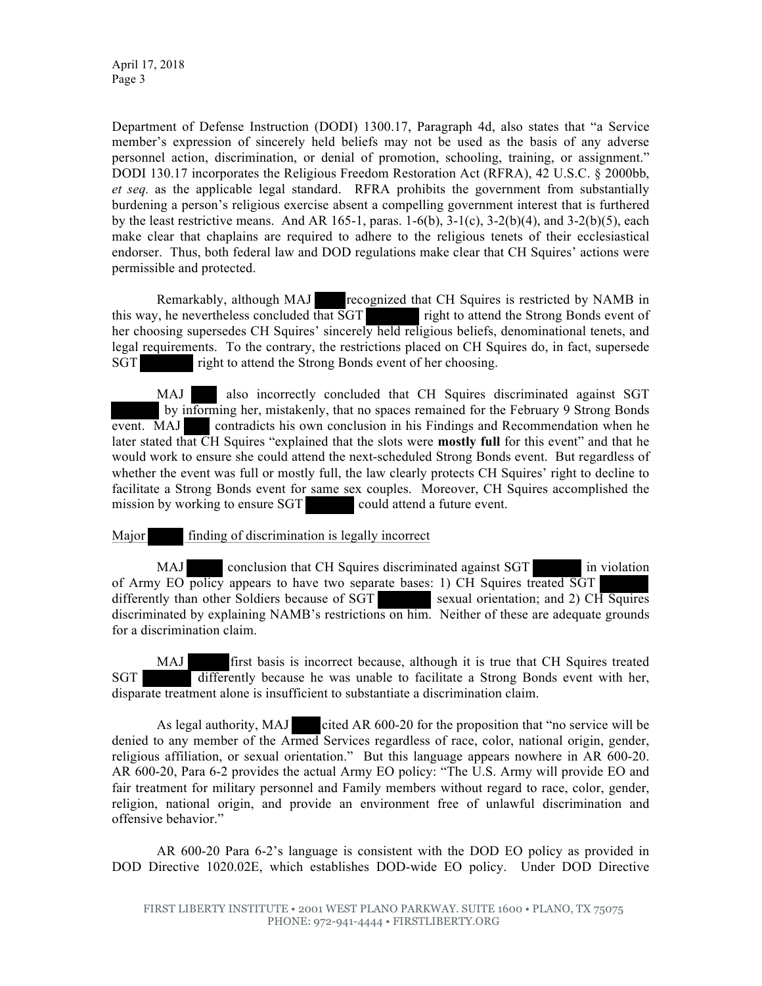Department of Defense Instruction (DODI) 1300.17, Paragraph 4d, also states that "a Service member's expression of sincerely held beliefs may not be used as the basis of any adverse personnel action, discrimination, or denial of promotion, schooling, training, or assignment." DODI 130.17 incorporates the Religious Freedom Restoration Act (RFRA), 42 U.S.C. § 2000bb, *et seq.* as the applicable legal standard. RFRA prohibits the government from substantially burdening a person's religious exercise absent a compelling government interest that is furthered by the least restrictive means. And AR 165-1, paras. 1-6(b),  $3-1(c)$ ,  $3-2(b)(4)$ , and  $3-2(b)(5)$ , each make clear that chaplains are required to adhere to the religious tenets of their ecclesiastical endorser. Thus, both federal law and DOD regulations make clear that CH Squires' actions were permissible and protected.

Remarkably, although MAJ recognized that CH Squires is restricted by NAMB in this way, he nevertheless concluded that SGT right to attend the Strong Bonds event of her choosing supersedes CH Squires' sincerely held religious beliefs, denominational tenets, and legal requirements. To the contrary, the restrictions placed on CH Squires do, in fact, supersede SGT right to attend the Strong Bonds event of her choosing.

MAJ also incorrectly concluded that CH Squires discriminated against SGT by informing her, mistakenly, that no spaces remained for the February 9 Strong Bonds event. MAJ contradicts his own conclusion in his Findings and Recommendation when he later stated that CH Squires "explained that the slots were **mostly full** for this event" and that he would work to ensure she could attend the next-scheduled Strong Bonds event. But regardless of whether the event was full or mostly full, the law clearly protects CH Squires' right to decline to facilitate a Strong Bonds event for same sex couples. Moreover, CH Squires accomplished the mission by working to ensure SGT could attend a future event.

Major finding of discrimination is legally incorrect

MAJ conclusion that CH Squires discriminated against SGT in violation of Army EO policy appears to have two separate bases: 1) CH Squires treated SGT differently than other Soldiers because of  $SGT$  sexual orientation; and 2) CH Squires discriminated by explaining NAMB's restrictions on him. Neither of these are adequate grounds for a discrimination claim.

MAJ first basis is incorrect because, although it is true that CH Squires treated SGT differently because he was unable to facilitate a Strong Bonds event with her, disparate treatment alone is insufficient to substantiate a discrimination claim.

As legal authority, MAJ cited AR 600-20 for the proposition that "no service will be denied to any member of the Armed Services regardless of race, color, national origin, gender, religious affiliation, or sexual orientation." But this language appears nowhere in AR 600-20. AR 600-20, Para 6-2 provides the actual Army EO policy: "The U.S. Army will provide EO and fair treatment for military personnel and Family members without regard to race, color, gender, religion, national origin, and provide an environment free of unlawful discrimination and offensive behavior."

AR 600-20 Para 6-2's language is consistent with the DOD EO policy as provided in DOD Directive 1020.02E, which establishes DOD-wide EO policy. Under DOD Directive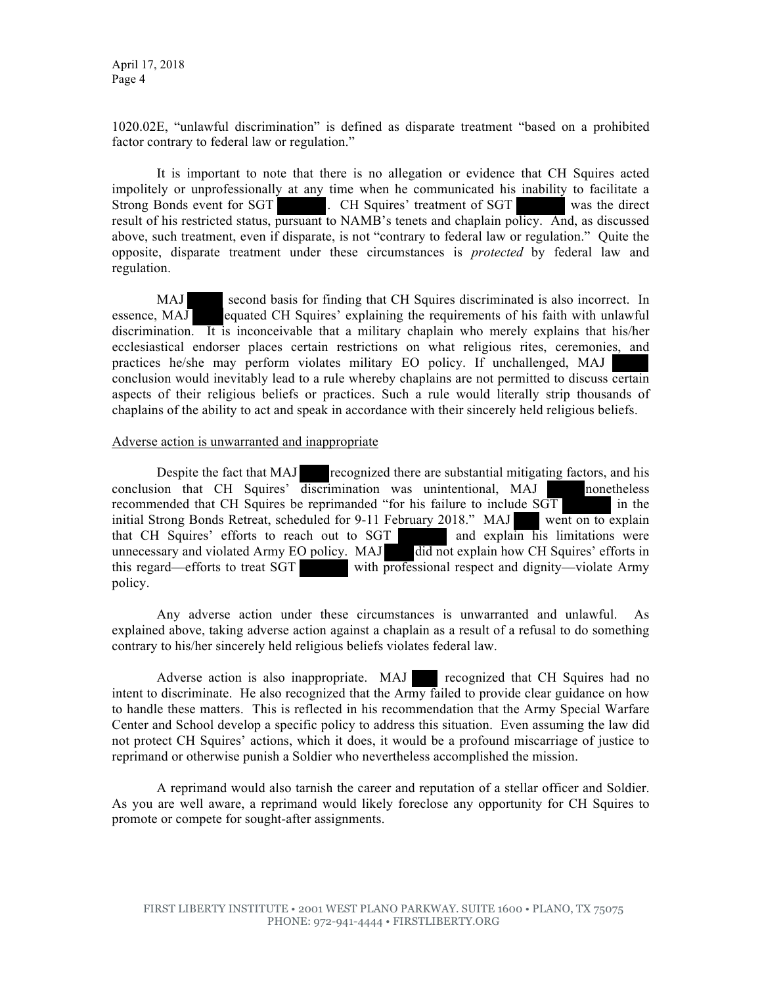1020.02E, "unlawful discrimination" is defined as disparate treatment "based on a prohibited factor contrary to federal law or regulation."

It is important to note that there is no allegation or evidence that CH Squires acted impolitely or unprofessionally at any time when he communicated his inability to facilitate a Strong Bonds event for SGT . CH Squires' treatment of SGT was the direct result of his restricted status, pursuant to NAMB's tenets and chaplain policy. And, as discussed above, such treatment, even if disparate, is not "contrary to federal law or regulation." Quite the opposite, disparate treatment under these circumstances is *protected* by federal law and regulation.

MAJ second basis for finding that CH Squires discriminated is also incorrect. In essence, MAJ equated CH Squires' explaining the requirements of his faith with unlawful discrimination. It is inconceivable that a military chaplain who merely explains that his/her ecclesiastical endorser places certain restrictions on what religious rites, ceremonies, and practices he/she may perform violates military EO policy. If unchallenged, MAJ conclusion would inevitably lead to a rule whereby chaplains are not permitted to discuss certain aspects of their religious beliefs or practices. Such a rule would literally strip thousands of chaplains of the ability to act and speak in accordance with their sincerely held religious beliefs.

#### Adverse action is unwarranted and inappropriate

Despite the fact that MAJ recognized there are substantial mitigating factors, and his conclusion that CH Squires' discrimination was unintentional, MAJ nonetheless recommended that CH Squires be reprimanded "for his failure to include  $S\overline{GT}$  in the initial Strong Bonds Retreat, scheduled for 9-11 February 2018." MAJ went on to explain<br>that CH Squires' efforts to reach out to SGT and explain his limitations were that CH Squires' efforts to reach out to SGT unnecessary and violated Army EO policy. MAJ did not explain how CH Squires' efforts in this regard—efforts to treat SGT with professional respect and dignity—violate Army policy.

Any adverse action under these circumstances is unwarranted and unlawful. As explained above, taking adverse action against a chaplain as a result of a refusal to do something contrary to his/her sincerely held religious beliefs violates federal law.

Adverse action is also inappropriate. MAJ recognized that CH Squires had no intent to discriminate. He also recognized that the Army failed to provide clear guidance on how to handle these matters. This is reflected in his recommendation that the Army Special Warfare Center and School develop a specific policy to address this situation. Even assuming the law did not protect CH Squires' actions, which it does, it would be a profound miscarriage of justice to reprimand or otherwise punish a Soldier who nevertheless accomplished the mission.

A reprimand would also tarnish the career and reputation of a stellar officer and Soldier. As you are well aware, a reprimand would likely foreclose any opportunity for CH Squires to promote or compete for sought-after assignments.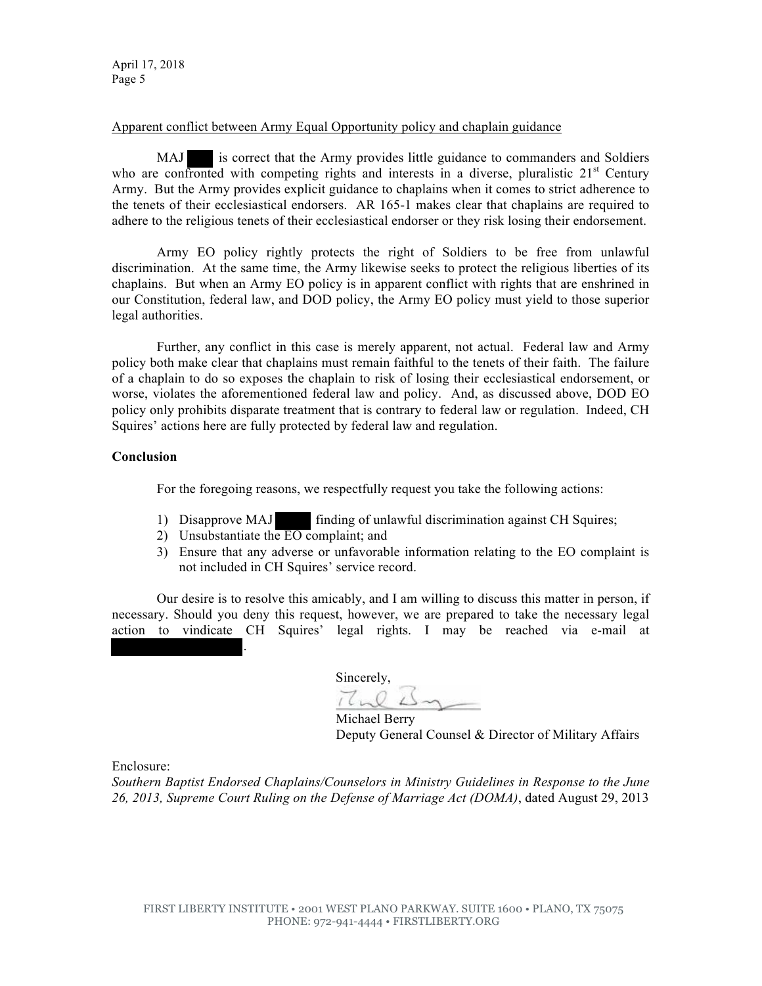April 17, 2018 Page 5

## Apparent conflict between Army Equal Opportunity policy and chaplain guidance

MAJ is correct that the Army provides little guidance to commanders and Soldiers who are confronted with competing rights and interests in a diverse, pluralistic  $21<sup>st</sup>$  Century Army. But the Army provides explicit guidance to chaplains when it comes to strict adherence to the tenets of their ecclesiastical endorsers. AR 165-1 makes clear that chaplains are required to adhere to the religious tenets of their ecclesiastical endorser or they risk losing their endorsement.

Army EO policy rightly protects the right of Soldiers to be free from unlawful discrimination. At the same time, the Army likewise seeks to protect the religious liberties of its chaplains. But when an Army EO policy is in apparent conflict with rights that are enshrined in our Constitution, federal law, and DOD policy, the Army EO policy must yield to those superior legal authorities.

Further, any conflict in this case is merely apparent, not actual. Federal law and Army policy both make clear that chaplains must remain faithful to the tenets of their faith. The failure of a chaplain to do so exposes the chaplain to risk of losing their ecclesiastical endorsement, or worse, violates the aforementioned federal law and policy. And, as discussed above, DOD EO policy only prohibits disparate treatment that is contrary to federal law or regulation. Indeed, CH Squires' actions here are fully protected by federal law and regulation.

# **Conclusion**

For the foregoing reasons, we respectfully request you take the following actions:

- 1) Disapprove MAJ finding of unlawful discrimination against CH Squires;
- 2) Unsubstantiate the EO complaint; and

.

3) Ensure that any adverse or unfavorable information relating to the EO complaint is not included in CH Squires' service record.

Our desire is to resolve this amicably, and I am willing to discuss this matter in person, if necessary. Should you deny this request, however, we are prepared to take the necessary legal action to vindicate CH Squires' legal rights. I may be reached via e-mail at

 Sincerely,  $77.23$ 

Michael Berry Deputy General Counsel & Director of Military Affairs

Enclosure:

*Southern Baptist Endorsed Chaplains/Counselors in Ministry Guidelines in Response to the June 26, 2013, Supreme Court Ruling on the Defense of Marriage Act (DOMA)*, dated August 29, 2013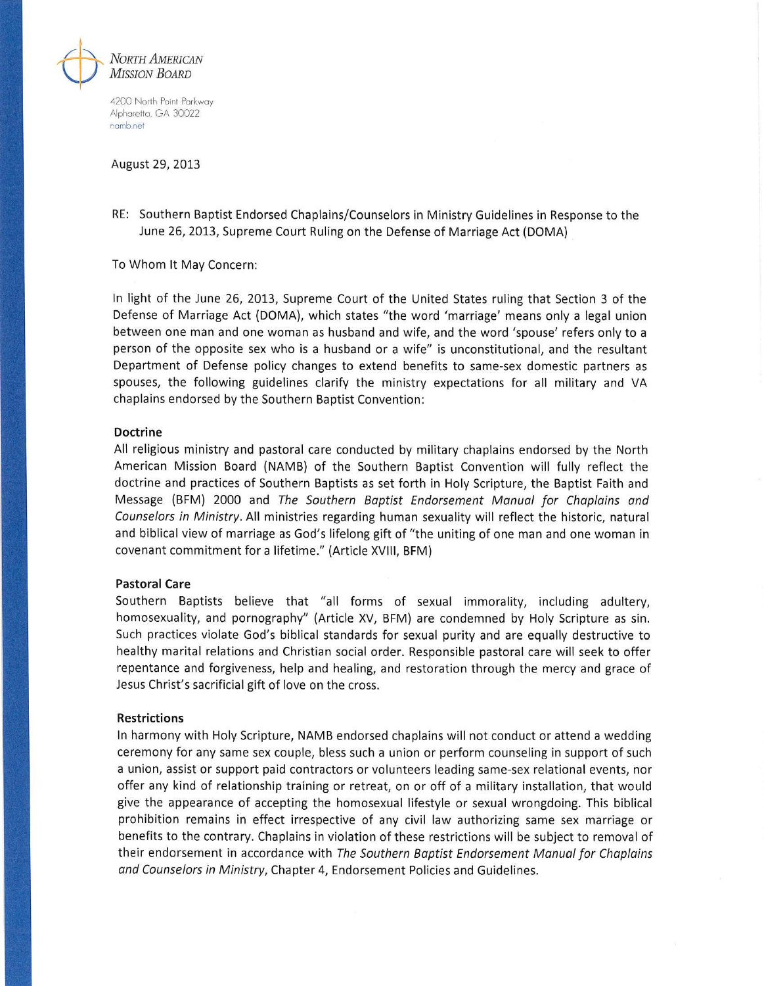

4200 North Point Parkway Alpharetta, GA 30022 namb.net

#### August 29, 2013

RE: Southern Baptist Endorsed Chaplains/Counselors in Ministry Guidelines in Response to the June 26, 2013, Supreme Court Ruling on the Defense of Marriage Act (DOMA)

To Whom It May Concern:

In light of the June 26, 2013, Supreme Court of the United States ruling that Section 3 of the Defense of Marriage Act (DOMA), which states "the word 'marriage' means only a legal union between one man and one woman as husband and wife, and the word 'spouse' refers only to a person of the opposite sex who is a husband or a wife" is unconstitutional, and the resultant Department of Defense policy changes to extend benefits to same-sex domestic partners as spouses, the following guidelines clarify the ministry expectations for all military and VA chaplains endorsed by the Southern Baptist Convention:

## **Doctrine**

All religious ministry and pastoral care conducted by military chaplains endorsed by the North American Mission Board (NAMB) of the Southern Baptist Convention will fully reflect the doctrine and practices of Southern Baptists as set forth in Holy Scripture, the Baptist Faith and Message (BFM) 2000 and The Southern Baptist Endorsement Manual for Chaplains and Counselors in Ministry. All ministries regarding human sexuality will reflect the historic, natural and biblical view of marriage as God's lifelong gift of "the uniting of one man and one woman in covenant commitment for a lifetime." (Article XVIII, BFM)

### **Pastoral Care**

Southern Baptists believe that "all forms of sexual immorality, including adultery, homosexuality, and pornography" (Article XV, BFM) are condemned by Holy Scripture as sin. Such practices violate God's biblical standards for sexual purity and are equally destructive to healthy marital relations and Christian social order. Responsible pastoral care will seek to offer repentance and forgiveness, help and healing, and restoration through the mercy and grace of Jesus Christ's sacrificial gift of love on the cross.

### **Restrictions**

In harmony with Holy Scripture, NAMB endorsed chaplains will not conduct or attend a wedding ceremony for any same sex couple, bless such a union or perform counseling in support of such a union, assist or support paid contractors or volunteers leading same-sex relational events, nor offer any kind of relationship training or retreat, on or off of a military installation, that would give the appearance of accepting the homosexual lifestyle or sexual wrongdoing. This biblical prohibition remains in effect irrespective of any civil law authorizing same sex marriage or benefits to the contrary. Chaplains in violation of these restrictions will be subject to removal of their endorsement in accordance with The Southern Baptist Endorsement Manual for Chaplains and Counselors in Ministry, Chapter 4, Endorsement Policies and Guidelines.